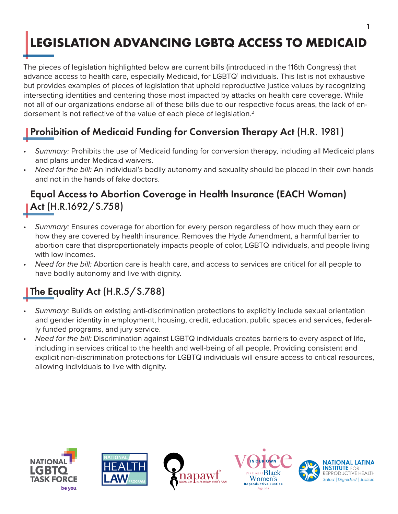# <span id="page-0-0"></span>**LEGISLATION ADVANCING LGBTQ ACCESS TO MEDICAID**

The pieces of legislation highlighted below are current bills (introduced in the 116th Congress) that advance access to health care, especially Medicaid, for LGBTQ<sup>[1](#page-1-0)</sup> individuals. This list is not exhaustive but provides examples of pieces of legislation that uphold reproductive justice values by recognizing intersecting identities and centering those most impacted by attacks on health care coverage. While not all of our organizations endorse all of these bills due to our respective focus areas, the lack of endorsement is not reflective of the value of each piece of legislation.<sup>2</sup>

## Prohibition of Medicaid Funding for Conversion Therapy Act (H.R. 1981)

- *• Summary:* Prohibits the use of Medicaid funding for conversion therapy, including all Medicaid plans and plans under Medicaid waivers.
- *• Need for the bill:* An individual's bodily autonomy and sexuality should be placed in their own hands and not in the hands of fake doctors.

#### Equal Access to Abortion Coverage in Health Insurance (EACH Woman) Act (H.R.1692/S.758)

- *• Summary:* Ensures coverage for abortion for every person regardless of how much they earn or how they are covered by health insurance. Removes the Hyde Amendment, a harmful barrier to abortion care that disproportionately impacts people of color, LGBTQ individuals, and people living with low incomes.
- *• Need for the bill:* Abortion care is health care, and access to services are critical for all people to have bodily autonomy and live with dignity.

### The Equality Act (H.R.5/S.788)

- *• Summary:* Builds on existing anti-discrimination protections to explicitly include sexual orientation and gender identity in employment, housing, credit, education, public spaces and services, federally funded programs, and jury service.
- *• Need for the bill:* Discrimination against LGBTQ individuals creates barriers to every aspect of life, including in services critical to the health and well-being of all people. Providing consistent and explicit non-discrimination protections for LGBTQ individuals will ensure access to critical resources, allowing individuals to live with dignity.